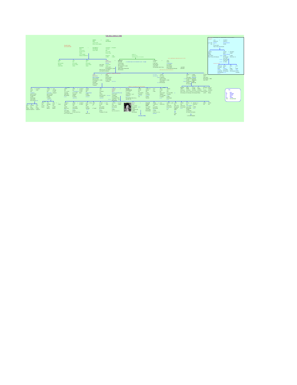